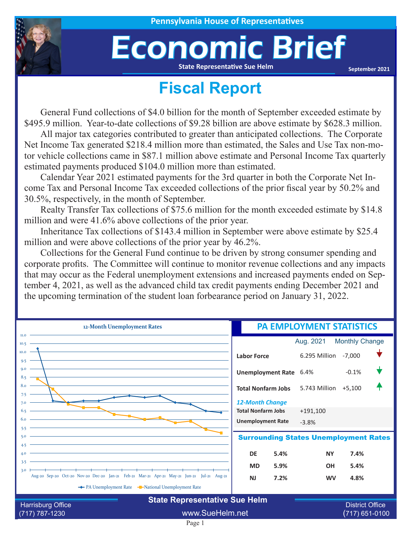## Economic Brief **State Representative Sue Helm**

**September 2021**

## **Fiscal Report**

General Fund collections of \$4.0 billion for the month of September exceeded estimate by \$495.9 million. Year-to-date collections of \$9.28 billion are above estimate by \$628.3 million.

All major tax categories contributed to greater than anticipated collections. The Corporate Net Income Tax generated \$218.4 million more than estimated, the Sales and Use Tax non-motor vehicle collections came in \$87.1 million above estimate and Personal Income Tax quarterly estimated payments produced \$104.0 million more than estimated.

Calendar Year 2021 estimated payments for the 3rd quarter in both the Corporate Net Income Tax and Personal Income Tax exceeded collections of the prior fiscal year by 50.2% and 30.5%, respectively, in the month of September.

Realty Transfer Tax collections of \$75.6 million for the month exceeded estimate by \$14.8 million and were 41.6% above collections of the prior year.

Inheritance Tax collections of \$143.4 million in September were above estimate by \$25.4 million and were above collections of the prior year by 46.2%.

Collections for the General Fund continue to be driven by strong consumer spending and corporate profits. The Committee will continue to monitor revenue collections and any impacts that may occur as the Federal unemployment extensions and increased payments ended on September 4, 2021, as well as the advanced child tax credit payments ending December 2021 and the upcoming termination of the student loan forbearance period on January 31, 2022.